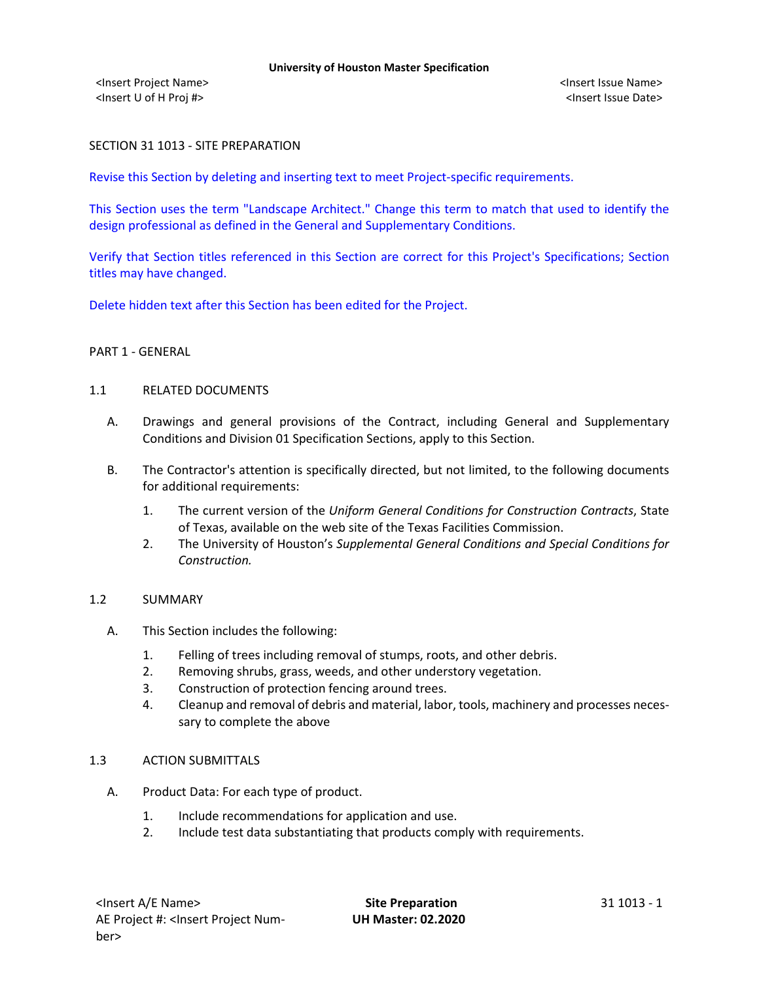<Insert Project Name> <Insert Issue Name> <Insert U of H Proj #> <Insert Issue Date>

# SECTION 31 1013 - SITE PREPARATION

Revise this Section by deleting and inserting text to meet Project-specific requirements.

This Section uses the term "Landscape Architect." Change this term to match that used to identify the design professional as defined in the General and Supplementary Conditions.

Verify that Section titles referenced in this Section are correct for this Project's Specifications; Section titles may have changed.

Delete hidden text after this Section has been edited for the Project.

### PART 1 - GENERAL

### 1.1 RELATED DOCUMENTS

- A. Drawings and general provisions of the Contract, including General and Supplementary Conditions and Division 01 Specification Sections, apply to this Section.
- B. The Contractor's attention is specifically directed, but not limited, to the following documents for additional requirements:
	- 1. The current version of the *Uniform General Conditions for Construction Contracts*, State of Texas, available on the web site of the Texas Facilities Commission.
	- 2. The University of Houston's *Supplemental General Conditions and Special Conditions for Construction.*

### 1.2 SUMMARY

- A. This Section includes the following:
	- 1. Felling of trees including removal of stumps, roots, and other debris.
	- 2. Removing shrubs, grass, weeds, and other understory vegetation.
	- 3. Construction of protection fencing around trees.
	- 4. Cleanup and removal of debris and material, labor, tools, machinery and processes necessary to complete the above

### 1.3 ACTION SUBMITTALS

- A. Product Data: For each type of product.
	- 1. Include recommendations for application and use.
	- 2. Include test data substantiating that products comply with requirements.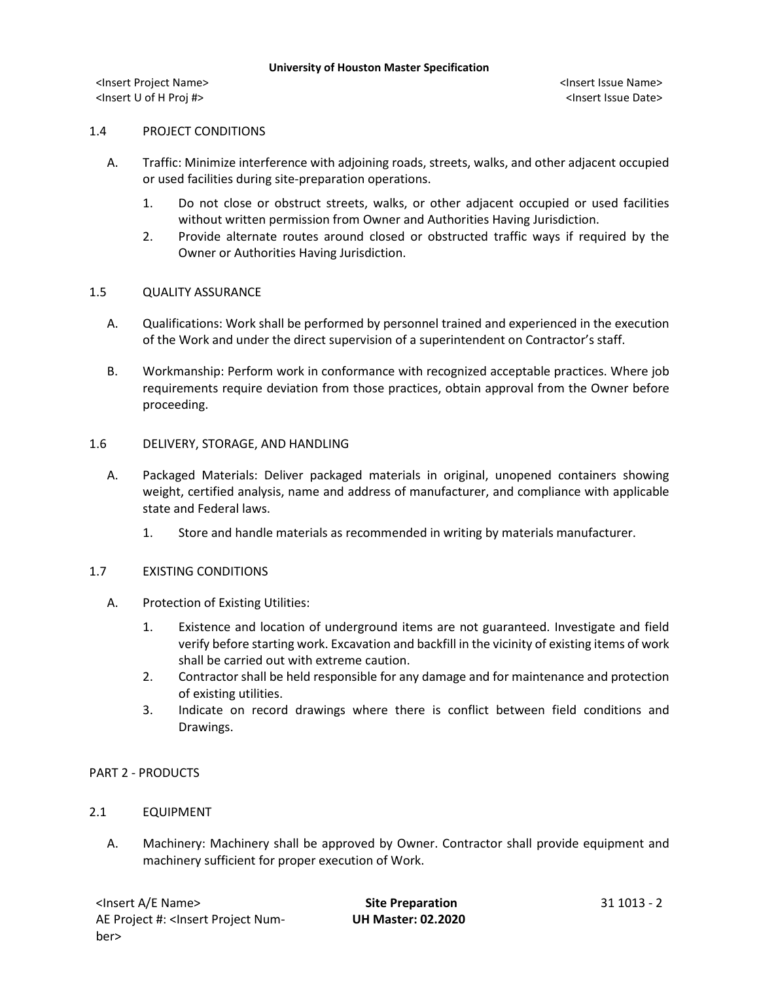<Insert Project Name> <Insert Issue Name> <Insert U of H Proj #> <Insert Issue Date>

# 1.4 PROJECT CONDITIONS

- A. Traffic: Minimize interference with adjoining roads, streets, walks, and other adjacent occupied or used facilities during site-preparation operations.
	- 1. Do not close or obstruct streets, walks, or other adjacent occupied or used facilities without written permission from Owner and Authorities Having Jurisdiction.
	- 2. Provide alternate routes around closed or obstructed traffic ways if required by the Owner or Authorities Having Jurisdiction.

# 1.5 QUALITY ASSURANCE

- A. Qualifications: Work shall be performed by personnel trained and experienced in the execution of the Work and under the direct supervision of a superintendent on Contractor's staff.
- B. Workmanship: Perform work in conformance with recognized acceptable practices. Where job requirements require deviation from those practices, obtain approval from the Owner before proceeding.

# 1.6 DELIVERY, STORAGE, AND HANDLING

- A. Packaged Materials: Deliver packaged materials in original, unopened containers showing weight, certified analysis, name and address of manufacturer, and compliance with applicable state and Federal laws.
	- 1. Store and handle materials as recommended in writing by materials manufacturer.

### 1.7 EXISTING CONDITIONS

- A. Protection of Existing Utilities:
	- 1. Existence and location of underground items are not guaranteed. Investigate and field verify before starting work. Excavation and backfill in the vicinity of existing items of work shall be carried out with extreme caution.
	- 2. Contractor shall be held responsible for any damage and for maintenance and protection of existing utilities.
	- 3. Indicate on record drawings where there is conflict between field conditions and Drawings.

# PART 2 - PRODUCTS

# 2.1 EQUIPMENT

A. Machinery: Machinery shall be approved by Owner. Contractor shall provide equipment and machinery sufficient for proper execution of Work.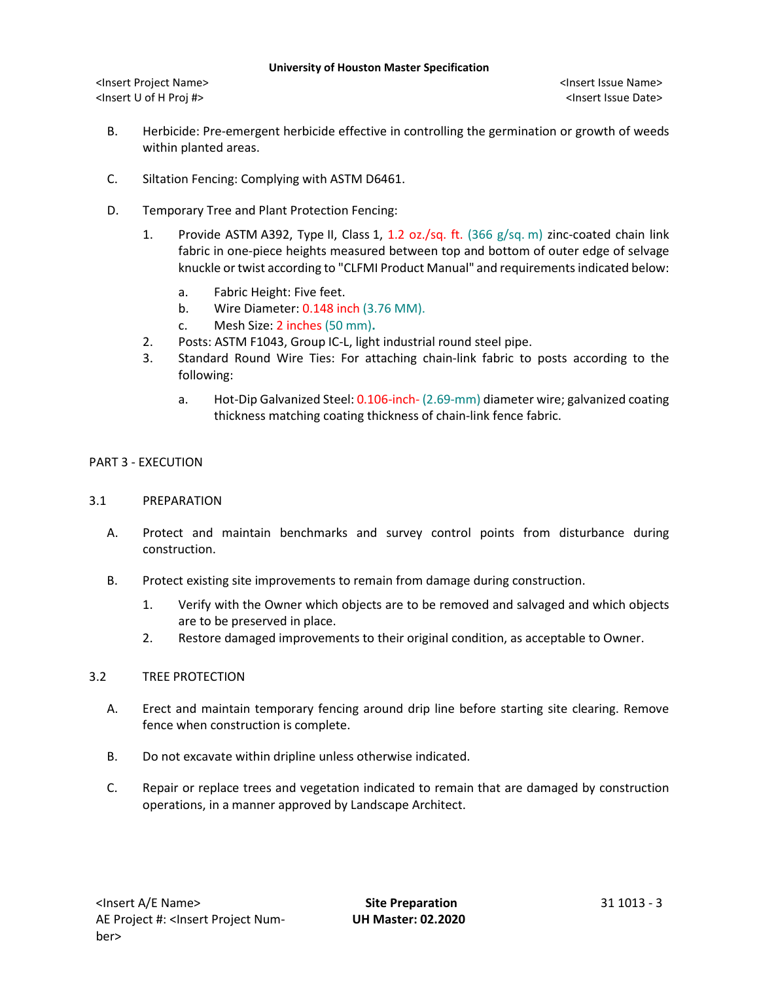#### **University of Houston Master Specification**

<Insert Project Name> <Insert Issue Name> <Insert U of H Proj #> <Insert Issue Date>

- B. Herbicide: Pre-emergent herbicide effective in controlling the germination or growth of weeds within planted areas.
- C. Siltation Fencing: Complying with ASTM D6461.
- D. Temporary Tree and Plant Protection Fencing:
	- 1. Provide ASTM A392, Type II, Class 1, 1.2 oz./sq. ft. (366 g/sq. m) zinc-coated chain link fabric in one-piece heights measured between top and bottom of outer edge of selvage knuckle or twist according to "CLFMI Product Manual" and requirements indicated below:
		- a. Fabric Height: Five feet.
		- b. Wire Diameter: 0.148 inch (3.76 MM).
		- c. Mesh Size: 2 inches (50 mm)**.**
	- 2. Posts: ASTM F1043, Group IC-L, light industrial round steel pipe.
	- 3. Standard Round Wire Ties: For attaching chain-link fabric to posts according to the following:
		- a. Hot-Dip Galvanized Steel: 0.106-inch- (2.69-mm) diameter wire; galvanized coating thickness matching coating thickness of chain-link fence fabric.

### PART 3 - EXECUTION

### 3.1 PREPARATION

- A. Protect and maintain benchmarks and survey control points from disturbance during construction.
- B. Protect existing site improvements to remain from damage during construction.
	- 1. Verify with the Owner which objects are to be removed and salvaged and which objects are to be preserved in place.
	- 2. Restore damaged improvements to their original condition, as acceptable to Owner.

### 3.2 TREE PROTECTION

- A. Erect and maintain temporary fencing around drip line before starting site clearing. Remove fence when construction is complete.
- B. Do not excavate within dripline unless otherwise indicated.
- C. Repair or replace trees and vegetation indicated to remain that are damaged by construction operations, in a manner approved by Landscape Architect.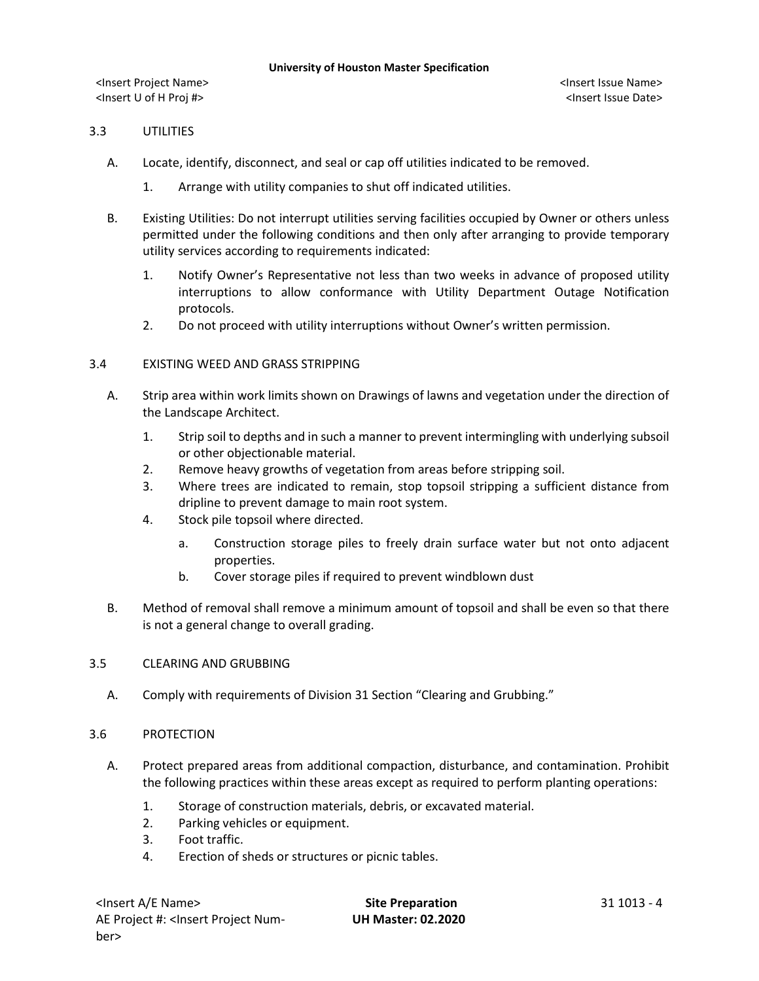<Insert Project Name> <Insert Issue Name> <Insert U of H Proj #> <Insert Issue Date>

# 3.3 UTILITIES

- A. Locate, identify, disconnect, and seal or cap off utilities indicated to be removed.
	- 1. Arrange with utility companies to shut off indicated utilities.
- B. Existing Utilities: Do not interrupt utilities serving facilities occupied by Owner or others unless permitted under the following conditions and then only after arranging to provide temporary utility services according to requirements indicated:
	- 1. Notify Owner's Representative not less than two weeks in advance of proposed utility interruptions to allow conformance with Utility Department Outage Notification protocols.
	- 2. Do not proceed with utility interruptions without Owner's written permission.

### 3.4 EXISTING WEED AND GRASS STRIPPING

- A. Strip area within work limits shown on Drawings of lawns and vegetation under the direction of the Landscape Architect.
	- 1. Strip soil to depths and in such a manner to prevent intermingling with underlying subsoil or other objectionable material.
	- 2. Remove heavy growths of vegetation from areas before stripping soil.
	- 3. Where trees are indicated to remain, stop topsoil stripping a sufficient distance from dripline to prevent damage to main root system.
	- 4. Stock pile topsoil where directed.
		- a. Construction storage piles to freely drain surface water but not onto adjacent properties.
		- b. Cover storage piles if required to prevent windblown dust
- B. Method of removal shall remove a minimum amount of topsoil and shall be even so that there is not a general change to overall grading.

### 3.5 CLEARING AND GRUBBING

A. Comply with requirements of Division 31 Section "Clearing and Grubbing."

### 3.6 PROTECTION

- A. Protect prepared areas from additional compaction, disturbance, and contamination. Prohibit the following practices within these areas except as required to perform planting operations:
	- 1. Storage of construction materials, debris, or excavated material.
	- 2. Parking vehicles or equipment.
	- 3. Foot traffic.
	- 4. Erection of sheds or structures or picnic tables.